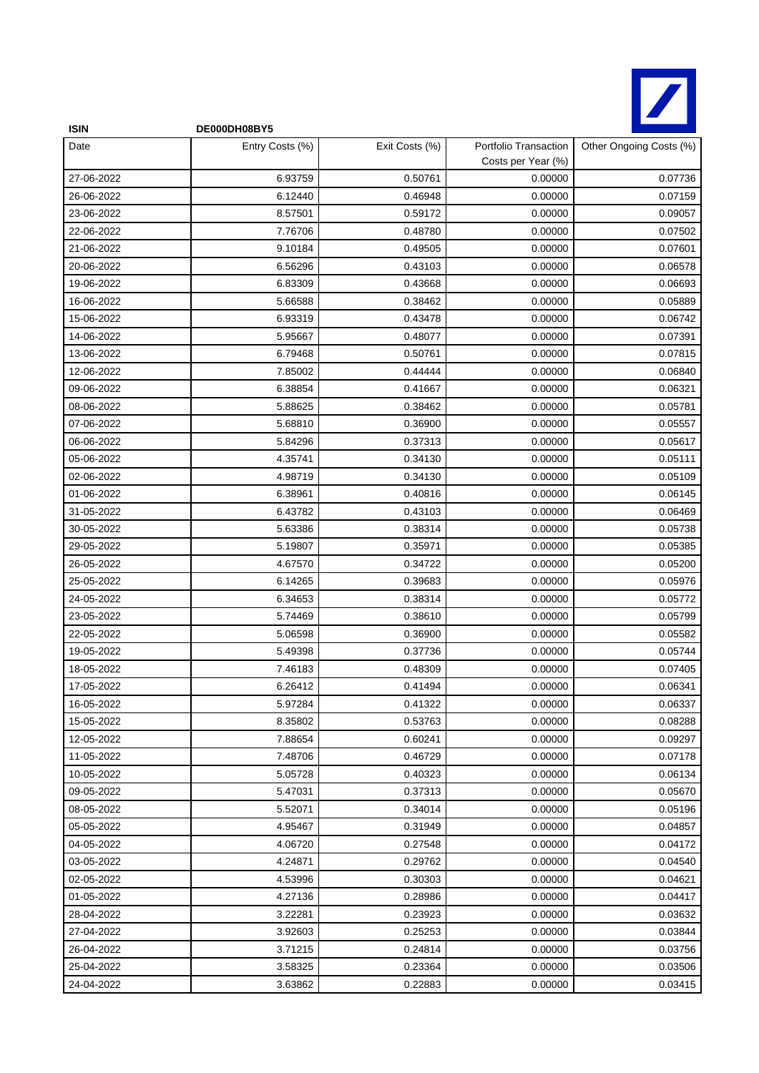

| <b>ISIN</b> | DE000DH08BY5    |                |                                             |                         |
|-------------|-----------------|----------------|---------------------------------------------|-------------------------|
| Date        | Entry Costs (%) | Exit Costs (%) | Portfolio Transaction<br>Costs per Year (%) | Other Ongoing Costs (%) |
| 27-06-2022  | 6.93759         | 0.50761        | 0.00000                                     | 0.07736                 |
| 26-06-2022  | 6.12440         | 0.46948        | 0.00000                                     | 0.07159                 |
| 23-06-2022  | 8.57501         | 0.59172        | 0.00000                                     | 0.09057                 |
| 22-06-2022  | 7.76706         | 0.48780        | 0.00000                                     | 0.07502                 |
| 21-06-2022  | 9.10184         | 0.49505        | 0.00000                                     | 0.07601                 |
| 20-06-2022  | 6.56296         | 0.43103        | 0.00000                                     | 0.06578                 |
| 19-06-2022  | 6.83309         | 0.43668        | 0.00000                                     | 0.06693                 |
| 16-06-2022  | 5.66588         | 0.38462        | 0.00000                                     | 0.05889                 |
| 15-06-2022  | 6.93319         | 0.43478        | 0.00000                                     | 0.06742                 |
| 14-06-2022  | 5.95667         | 0.48077        | 0.00000                                     | 0.07391                 |
| 13-06-2022  | 6.79468         | 0.50761        | 0.00000                                     | 0.07815                 |
| 12-06-2022  | 7.85002         | 0.44444        | 0.00000                                     | 0.06840                 |
| 09-06-2022  | 6.38854         | 0.41667        | 0.00000                                     | 0.06321                 |
| 08-06-2022  | 5.88625         | 0.38462        | 0.00000                                     | 0.05781                 |
| 07-06-2022  | 5.68810         | 0.36900        | 0.00000                                     | 0.05557                 |
| 06-06-2022  | 5.84296         | 0.37313        | 0.00000                                     | 0.05617                 |
| 05-06-2022  | 4.35741         | 0.34130        | 0.00000                                     | 0.05111                 |
| 02-06-2022  | 4.98719         | 0.34130        | 0.00000                                     | 0.05109                 |
| 01-06-2022  | 6.38961         | 0.40816        | 0.00000                                     | 0.06145                 |
| 31-05-2022  | 6.43782         | 0.43103        | 0.00000                                     | 0.06469                 |
| 30-05-2022  | 5.63386         | 0.38314        | 0.00000                                     | 0.05738                 |
| 29-05-2022  | 5.19807         | 0.35971        | 0.00000                                     | 0.05385                 |
| 26-05-2022  | 4.67570         | 0.34722        | 0.00000                                     | 0.05200                 |
| 25-05-2022  | 6.14265         | 0.39683        | 0.00000                                     | 0.05976                 |
| 24-05-2022  | 6.34653         | 0.38314        | 0.00000                                     | 0.05772                 |
| 23-05-2022  | 5.74469         | 0.38610        | 0.00000                                     | 0.05799                 |
| 22-05-2022  | 5.06598         | 0.36900        | 0.00000                                     | 0.05582                 |
| 19-05-2022  | 5.49398         | 0.37736        | 0.00000                                     | 0.05744                 |
| 18-05-2022  | 7.46183         | 0.48309        | 0.00000                                     | 0.07405                 |
| 17-05-2022  | 6.26412         | 0.41494        | 0.00000                                     | 0.06341                 |
| 16-05-2022  | 5.97284         | 0.41322        | 0.00000                                     | 0.06337                 |
| 15-05-2022  | 8.35802         | 0.53763        | 0.00000                                     | 0.08288                 |
| 12-05-2022  | 7.88654         | 0.60241        | 0.00000                                     | 0.09297                 |
| 11-05-2022  | 7.48706         | 0.46729        | 0.00000                                     | 0.07178                 |
| 10-05-2022  | 5.05728         | 0.40323        | 0.00000                                     | 0.06134                 |
| 09-05-2022  | 5.47031         | 0.37313        | 0.00000                                     | 0.05670                 |
| 08-05-2022  | 5.52071         | 0.34014        | 0.00000                                     | 0.05196                 |
| 05-05-2022  | 4.95467         | 0.31949        | 0.00000                                     | 0.04857                 |
| 04-05-2022  | 4.06720         | 0.27548        | 0.00000                                     | 0.04172                 |
| 03-05-2022  | 4.24871         | 0.29762        | 0.00000                                     | 0.04540                 |
| 02-05-2022  | 4.53996         | 0.30303        | 0.00000                                     | 0.04621                 |
| 01-05-2022  | 4.27136         | 0.28986        | 0.00000                                     | 0.04417                 |
| 28-04-2022  | 3.22281         | 0.23923        | 0.00000                                     | 0.03632                 |
| 27-04-2022  | 3.92603         | 0.25253        | 0.00000                                     | 0.03844                 |
| 26-04-2022  | 3.71215         | 0.24814        | 0.00000                                     | 0.03756                 |
| 25-04-2022  | 3.58325         | 0.23364        | 0.00000                                     | 0.03506                 |
| 24-04-2022  | 3.63862         | 0.22883        | 0.00000                                     | 0.03415                 |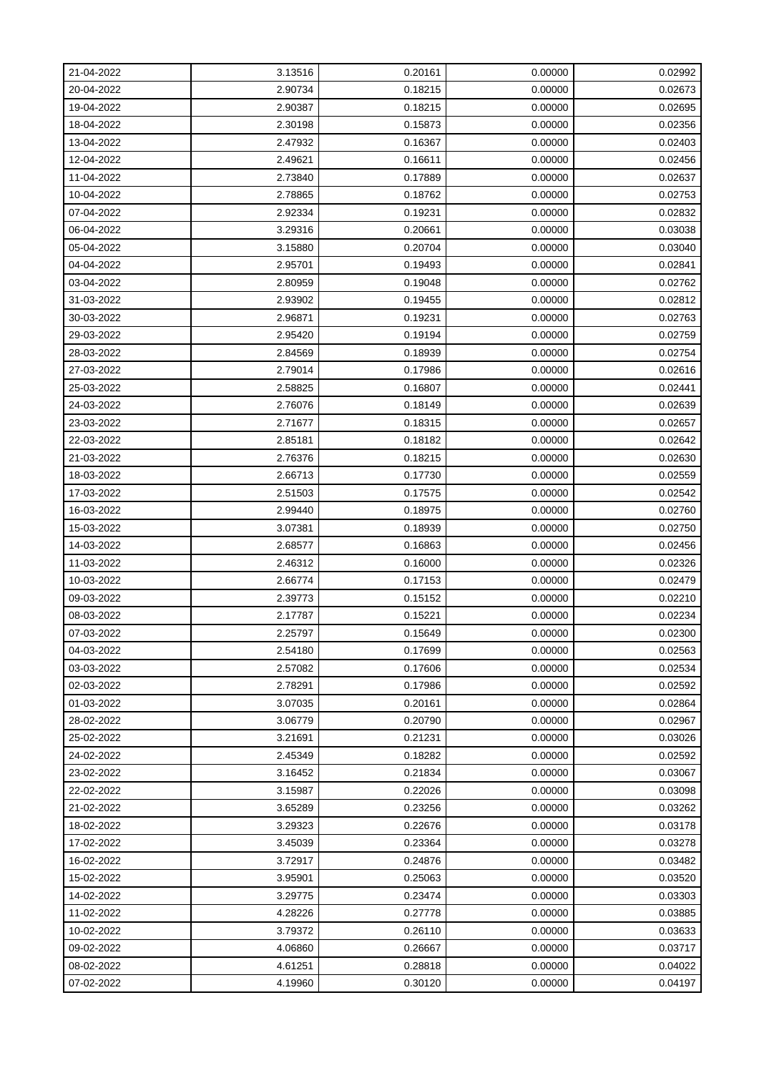| 21-04-2022 | 3.13516 | 0.20161 | 0.00000 | 0.02992 |
|------------|---------|---------|---------|---------|
| 20-04-2022 | 2.90734 | 0.18215 | 0.00000 | 0.02673 |
| 19-04-2022 | 2.90387 | 0.18215 | 0.00000 | 0.02695 |
| 18-04-2022 | 2.30198 | 0.15873 | 0.00000 | 0.02356 |
| 13-04-2022 | 2.47932 | 0.16367 | 0.00000 | 0.02403 |
| 12-04-2022 | 2.49621 | 0.16611 | 0.00000 | 0.02456 |
| 11-04-2022 | 2.73840 | 0.17889 | 0.00000 | 0.02637 |
| 10-04-2022 | 2.78865 | 0.18762 | 0.00000 | 0.02753 |
| 07-04-2022 | 2.92334 | 0.19231 | 0.00000 | 0.02832 |
| 06-04-2022 | 3.29316 | 0.20661 | 0.00000 | 0.03038 |
| 05-04-2022 | 3.15880 | 0.20704 | 0.00000 | 0.03040 |
| 04-04-2022 | 2.95701 | 0.19493 | 0.00000 | 0.02841 |
| 03-04-2022 | 2.80959 | 0.19048 | 0.00000 | 0.02762 |
| 31-03-2022 | 2.93902 | 0.19455 | 0.00000 | 0.02812 |
| 30-03-2022 | 2.96871 | 0.19231 | 0.00000 | 0.02763 |
| 29-03-2022 | 2.95420 | 0.19194 | 0.00000 | 0.02759 |
| 28-03-2022 | 2.84569 | 0.18939 | 0.00000 | 0.02754 |
| 27-03-2022 | 2.79014 | 0.17986 | 0.00000 | 0.02616 |
| 25-03-2022 | 2.58825 | 0.16807 | 0.00000 | 0.02441 |
| 24-03-2022 | 2.76076 | 0.18149 | 0.00000 | 0.02639 |
| 23-03-2022 | 2.71677 | 0.18315 | 0.00000 | 0.02657 |
| 22-03-2022 | 2.85181 | 0.18182 | 0.00000 | 0.02642 |
| 21-03-2022 | 2.76376 | 0.18215 | 0.00000 | 0.02630 |
| 18-03-2022 | 2.66713 | 0.17730 | 0.00000 | 0.02559 |
| 17-03-2022 | 2.51503 | 0.17575 | 0.00000 | 0.02542 |
| 16-03-2022 | 2.99440 | 0.18975 | 0.00000 | 0.02760 |
| 15-03-2022 | 3.07381 | 0.18939 | 0.00000 | 0.02750 |
| 14-03-2022 | 2.68577 | 0.16863 | 0.00000 | 0.02456 |
| 11-03-2022 | 2.46312 | 0.16000 | 0.00000 | 0.02326 |
| 10-03-2022 | 2.66774 | 0.17153 | 0.00000 | 0.02479 |
| 09-03-2022 | 2.39773 | 0.15152 | 0.00000 | 0.02210 |
| 08-03-2022 | 2.17787 | 0.15221 | 0.00000 | 0.02234 |
| 07-03-2022 | 2.25797 | 0.15649 | 0.00000 | 0.02300 |
| 04-03-2022 | 2.54180 | 0.17699 | 0.00000 | 0.02563 |
| 03-03-2022 | 2.57082 | 0.17606 | 0.00000 | 0.02534 |
| 02-03-2022 | 2.78291 | 0.17986 | 0.00000 | 0.02592 |
| 01-03-2022 | 3.07035 | 0.20161 | 0.00000 | 0.02864 |
| 28-02-2022 | 3.06779 | 0.20790 | 0.00000 | 0.02967 |
| 25-02-2022 | 3.21691 | 0.21231 | 0.00000 | 0.03026 |
| 24-02-2022 | 2.45349 | 0.18282 | 0.00000 | 0.02592 |
| 23-02-2022 | 3.16452 | 0.21834 | 0.00000 | 0.03067 |
| 22-02-2022 | 3.15987 | 0.22026 | 0.00000 | 0.03098 |
| 21-02-2022 | 3.65289 | 0.23256 | 0.00000 | 0.03262 |
| 18-02-2022 | 3.29323 | 0.22676 | 0.00000 | 0.03178 |
| 17-02-2022 | 3.45039 | 0.23364 | 0.00000 | 0.03278 |
| 16-02-2022 | 3.72917 | 0.24876 | 0.00000 | 0.03482 |
| 15-02-2022 | 3.95901 | 0.25063 | 0.00000 | 0.03520 |
| 14-02-2022 | 3.29775 | 0.23474 | 0.00000 | 0.03303 |
| 11-02-2022 | 4.28226 | 0.27778 | 0.00000 | 0.03885 |
| 10-02-2022 | 3.79372 | 0.26110 | 0.00000 | 0.03633 |
| 09-02-2022 | 4.06860 | 0.26667 | 0.00000 | 0.03717 |
| 08-02-2022 | 4.61251 | 0.28818 | 0.00000 | 0.04022 |
| 07-02-2022 | 4.19960 | 0.30120 | 0.00000 | 0.04197 |